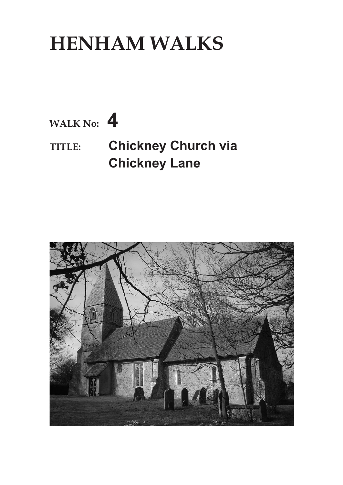## **HENHAM WALKS**



**TITLE: Chickney Church via Chickney Lane**

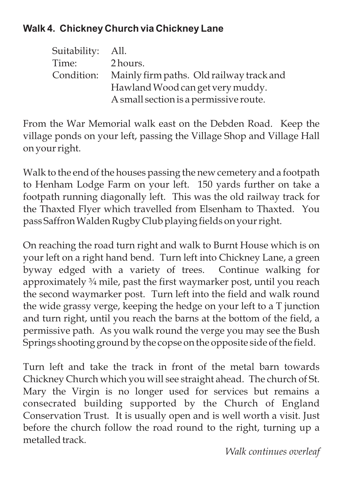## **Walk 4. Chickney Church via Chickney Lane**

| Suitability: All. |                                          |
|-------------------|------------------------------------------|
| Time:             | 2 hours.                                 |
| Condition:        | Mainly firm paths. Old railway track and |
|                   | Hawland Wood can get very muddy.         |
|                   | A small section is a permissive route.   |

From the War Memorial walk east on the Debden Road. Keep the village ponds on your left, passing the Village Shop and Village Hall on your right.

Walk to the end of the houses passing the new cemetery and a footpath to Henham Lodge Farm on your left. 150 yards further on take a footpath running diagonally left. This was the old railway track for the Thaxted Flyer which travelled from Elsenham to Thaxted. You pass SaffronWalden Rugby Club playing fields on your right.

On reaching the road turn right and walk to Burnt House which is on your left on a right hand bend. Turn left into Chickney Lane, a green byway edged with a variety of trees. Continue walking for approximately ¾ mile, past the first waymarker post, until you reach the second waymarker post. Turn left into the field and walk round the wide grassy verge, keeping the hedge on your left to a T junction and turn right, until you reach the barns at the bottom of the field, a permissive path. As you walk round the verge you may see the Bush Springs shooting ground by the copse on the opposite side of the field.

Turn left and take the track in front of the metal barn towards Chickney Church which you will see straight ahead. The church of St. Mary the Virgin is no longer used for services but remains a consecrated building supported by the Church of England Conservation Trust. It is usually open and is well worth a visit. Just before the church follow the road round to the right, turning up a metalled track.

*Walk continues overleaf*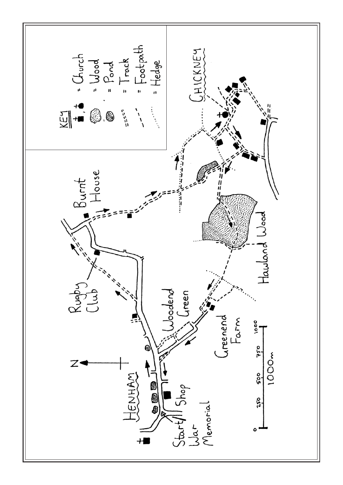